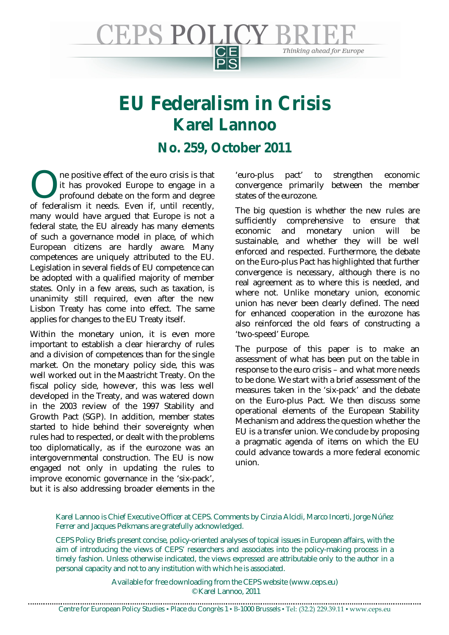

# **EU Federalism in Crisis Karel Lannoo**

# **No. 259, October 2011**

ne positive effect of the euro crisis is that it has provoked Europe to engage in a profound debate on the form and degree The positive effect of the euro crisis is that<br>it has provoked Europe to engage in a<br>profound debate on the form and degree<br>of federalism it needs. Even if, until recently, many would have argued that Europe is not a federal state, the EU already has many elements of such a governance model in place, of which European citizens are hardly aware. Many competences are uniquely attributed to the EU. Legislation in several fields of EU competence can be adopted with a qualified majority of member states. Only in a few areas, such as taxation, is unanimity still required, even after the new Lisbon Treaty has come into effect. The same applies for changes to the EU Treaty itself.

Within the monetary union, it is even more important to establish a clear hierarchy of rules and a division of competences than for the single market. On the monetary policy side, this was well worked out in the Maastricht Treaty. On the fiscal policy side, however, this was less well developed in the Treaty, and was watered down in the 2003 review of the 1997 Stability and Growth Pact (SGP). In addition, member states started to hide behind their sovereignty when rules had to respected, or dealt with the problems too diplomatically, as if the eurozone was an intergovernmental construction. The EU is now engaged not only in updating the rules to improve economic governance in the 'six-pack', but it is also addressing broader elements in the 'euro-plus pact' to strengthen economic convergence primarily between the member states of the eurozone.

The big question is whether the new rules are sufficiently comprehensive to ensure that economic and monetary union will be sustainable, and whether they will be well enforced and respected. Furthermore, the debate on the Euro-plus Pact has highlighted that further convergence is necessary, although there is no real agreement as to where this is needed, and where not. Unlike monetary union, economic union has never been clearly defined. The need for enhanced cooperation in the eurozone has also reinforced the old fears of constructing a 'two-speed' Europe.

The purpose of this paper is to make an assessment of what has been put on the table in response to the euro crisis – and what more needs to be done. We start with a brief assessment of the measures taken in the 'six-pack' and the debate on the Euro-plus Pact. We then discuss some operational elements of the European Stability Mechanism and address the question whether the EU is a transfer union. We conclude by proposing a pragmatic agenda of items on which the EU could advance towards a more federal economic union.

#### Karel Lannoo is Chief Executive Officer at CEPS. Comments by Cinzia Alcidi, Marco Incerti, Jorge Núñez Ferrer and Jacques Pelkmans are gratefully acknowledged.

CEPS Policy Briefs present concise, policy-oriented analyses of topical issues in European affairs, with the aim of introducing the views of CEPS' researchers and associates into the policy-making process in a timely fashion. Unless otherwise indicated, the views expressed are attributable only to the author in a personal capacity and not to any institution with which he is associated.

> Available for free downloading from the CEPS website (www.ceps.eu) © Karel Lannoo, 2011

Centre for European Policy Studies ▪ Place du Congrès 1 ▪ B-1000 Brussels ▪ Tel: (32.2) 229.39.11 ▪ www.ceps.eu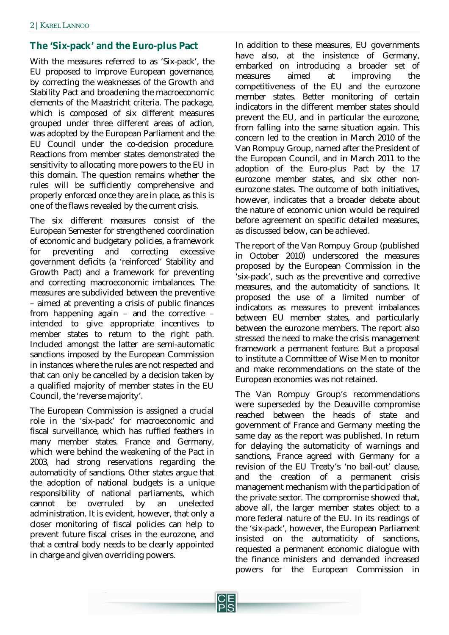# **The 'Six-pack' and the Euro-plus Pact**

With the measures referred to as 'Six-pack', the EU proposed to improve European governance, by correcting the weaknesses of the Growth and Stability Pact and broadening the macroeconomic elements of the Maastricht criteria. The package, which is composed of six different measures grouped under three different areas of action, was adopted by the European Parliament and the EU Council under the co-decision procedure. Reactions from member states demonstrated the sensitivity to allocating more powers to the EU in this domain. The question remains whether the rules will be sufficiently comprehensive and properly enforced once they are in place, as this is one of the flaws revealed by the current crisis.

The six different measures consist of the European Semester for strengthened coordination of economic and budgetary policies, a framework for preventing and correcting excessive government deficits (a 'reinforced' Stability and Growth Pact) and a framework for preventing and correcting macroeconomic imbalances. The measures are subdivided between the preventive – aimed at preventing a crisis of public finances from happening again – and the corrective – intended to give appropriate incentives to member states to return to the right path. Included amongst the latter are semi-automatic sanctions imposed by the European Commission in instances where the rules are not respected and that can only be cancelled by a decision taken by a qualified majority of member states in the EU Council, the 'reverse majority'.

The European Commission is assigned a crucial role in the 'six-pack' for macroeconomic and fiscal surveillance, which has ruffled feathers in many member states. France and Germany, which were behind the weakening of the Pact in 2003, had strong reservations regarding the automaticity of sanctions. Other states argue that the adoption of national budgets is a unique responsibility of national parliaments, which cannot be overruled by an unelected administration. It is evident, however, that only a closer monitoring of fiscal policies can help to prevent future fiscal crises in the eurozone, and that a central body needs to be clearly appointed in charge and given overriding powers.

In addition to these measures, EU governments have also, at the insistence of Germany, embarked on introducing a broader set of measures aimed at improving the competitiveness of the EU and the eurozone member states. Better monitoring of certain indicators in the different member states should prevent the EU, and in particular the eurozone, from falling into the same situation again. This concern led to the creation in March 2010 of the Van Rompuy Group, named after the President of the European Council, and in March 2011 to the adoption of the Euro-plus Pact by the 17 eurozone member states, and six other noneurozone states. The outcome of both initiatives, however, indicates that a broader debate about the nature of economic union would be required before agreement on specific detailed measures, as discussed below, can be achieved.

The report of the Van Rompuy Group (published in October 2010) underscored the measures proposed by the European Commission in the 'six-pack', such as the preventive and corrective measures, and the automaticity of sanctions. It proposed the use of a limited number of indicators as measures to prevent imbalances between EU member states, and particularly between the eurozone members. The report also stressed the need to make the crisis management framework a permanent feature. But a proposal to institute a Committee of Wise Men to monitor and make recommendations on the state of the European economies was not retained.

The Van Rompuy Group's recommendations were superseded by the Deauville compromise reached between the heads of state and government of France and Germany meeting the same day as the report was published. In return for delaying the automaticity of warnings and sanctions, France agreed with Germany for a revision of the EU Treaty's 'no bail-out' clause, and the creation of a permanent crisis management mechanism with the participation of the private sector. The compromise showed that, above all, the larger member states object to a more federal nature of the EU. In its readings of the 'six-pack', however, the European Parliament insisted on the automaticity of sanctions, requested a permanent economic dialogue with the finance ministers and demanded increased powers for the European Commission in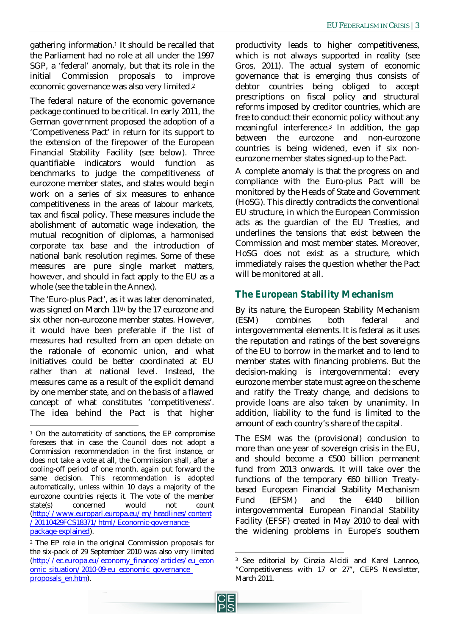gathering information.<sup>1</sup> It should be recalled that the Parliament had no role at all under the 1997 SGP, a 'federal' anomaly, but that its role in the initial Commission proposals to improve economic governance was also very limited.<sup>2</sup>

The federal nature of the economic governance package continued to be critical. In early 2011, the German government proposed the adoption of a 'Competiveness Pact' in return for its support to the extension of the firepower of the European Financial Stability Facility (see below). Three quantifiable indicators would function as benchmarks to judge the competitiveness of eurozone member states, and states would begin work on a series of six measures to enhance competitiveness in the areas of labour markets, tax and fiscal policy. These measures include the abolishment of automatic wage indexation, the mutual recognition of diplomas, a harmonised corporate tax base and the introduction of national bank resolution regimes. Some of these measures are pure single market matters, however, and should in fact apply to the EU as a whole (see the table in the Annex).

The 'Euro-plus Pact', as it was later denominated, was signed on March 11th by the 17 eurozone and six other non-eurozone member states. However, it would have been preferable if the list of measures had resulted from an open debate on the rationale of economic union, and what initiatives could be better coordinated at EU rather than at national level. Instead, the measures came as a result of the explicit demand by one member state, and on the basis of a flawed concept of what constitutes 'competitiveness'. The idea behind the Pact is that higher

1

productivity leads to higher competitiveness, which is not always supported in reality (see Gros, 2011). The actual system of economic governance that is emerging thus consists of debtor countries being obliged to accept prescriptions on fiscal policy and structural reforms imposed by creditor countries, which are free to conduct their economic policy without any meaningful interference.<sup>3</sup> In addition, the gap between the eurozone and non-eurozone countries is being widened, even if six noneurozone member states signed-up to the Pact.

A complete anomaly is that the progress on and compliance with the Euro-plus Pact will be monitored by the Heads of State and Government (HoSG). This directly contradicts the conventional EU structure, in which the European Commission acts as the guardian of the EU Treaties, and underlines the tensions that exist between the Commission and most member states. Moreover, HoSG does not exist as a structure, which immediately raises the question whether the Pact will be monitored at all.

# **The European Stability Mechanism**

By its nature, the European Stability Mechanism (ESM) combines both federal and intergovernmental elements. It is federal as it uses the reputation and ratings of the best sovereigns of the EU to borrow in the market and to lend to member states with financing problems. But the decision-making is intergovernmental: every eurozone member state must agree on the scheme and ratify the Treaty change, and decisions to provide loans are also taken by unanimity. In addition, liability to the fund is limited to the amount of each country's share of the capital.

The ESM was the (provisional) conclusion to more than one year of sovereign crisis in the EU, and should become a €500 billion permanent fund from 2013 onwards. It will take over the functions of the temporary €60 billion Treatybased European Financial Stability Mechanism Fund (EFSM) and the €440 billion intergovernmental European Financial Stability Facility (EFSF) created in May 2010 to deal with the widening problems in Europe's southern

<sup>1</sup> On the automaticity of sanctions, the EP compromise foresees that in case the Council does not adopt a Commission recommendation in the first instance, or does not take a vote at all, the Commission shall, after a cooling-off period of one month, again put forward the same decision. This recommendation is adopted automatically, unless within 10 days a majority of the eurozone countries rejects it. The vote of the member state(s) concerned would not count (http://www.europarl.europa.eu/en/headlines/content /20110429FCS18371/html/Economic-governancepackage-explained).

<sup>2</sup> The EP role in the original Commission proposals for the six-pack of 29 September 2010 was also very limited (http://ec.europa.eu/economy\_finance/articles/eu\_econ omic\_situation/2010-09-eu\_economic\_governance proposals\_en.htm).

 $\overline{a}$ <sup>3</sup> See editorial by Cinzia Alcidi and Karel Lannoo, "Competitiveness with 17 or 27", CEPS Newsletter, March 2011.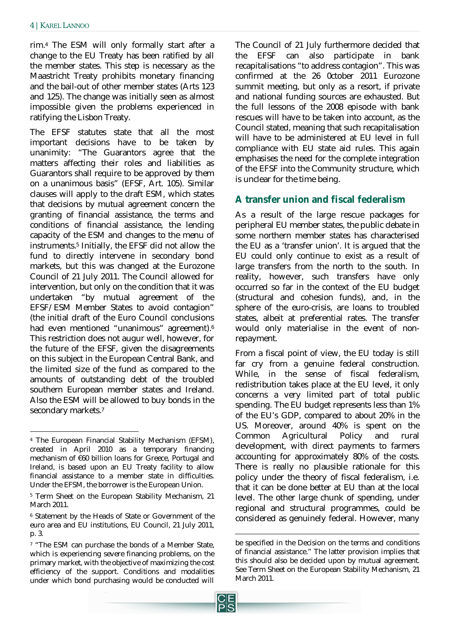rim.<sup>4</sup> The ESM will only formally start after a change to the EU Treaty has been ratified by all the member states. This step is necessary as the Maastricht Treaty prohibits monetary financing and the bail-out of other member states (Arts 123 and 125). The change was initially seen as almost impossible given the problems experienced in ratifying the Lisbon Treaty.

The EFSF statutes state that all the most important decisions have to be taken by unanimity: "The Guarantors agree that the matters affecting their roles and liabilities as Guarantors shall require to be approved by them on a unanimous basis" (EFSF, Art. 105). Similar clauses will apply to the draft ESM, which states that decisions by mutual agreement concern the granting of financial assistance, the terms and conditions of financial assistance, the lending capacity of the ESM and changes to the menu of instruments.<sup>5</sup> Initially, the EFSF did not allow the fund to directly intervene in secondary bond markets, but this was changed at the Eurozone Council of 21 July 2011. The Council allowed for intervention, but only on the condition that it was undertaken "by mutual agreement of the EFSF/ESM Member States to avoid contagion" (the initial draft of the Euro Council conclusions had even mentioned "unanimous" agreement).<sup>6</sup> This restriction does not augur well, however, for the future of the EFSF, given the disagreements on this subject in the European Central Bank, and the limited size of the fund as compared to the amounts of outstanding debt of the troubled southern European member states and Ireland. Also the ESM will be allowed to buy bonds in the secondary markets.<sup>7</sup>

The Council of 21 July furthermore decided that the EFSF can also participate in bank recapitalisations "to address contagion". This was confirmed at the 26 0ctober 2011 Eurozone summit meeting, but only as a resort, if private and national funding sources are exhausted. But the full lessons of the 2008 episode with bank rescues will have to be taken into account, as the Council stated, meaning that such recapitalisation will have to be administered at EU level in full compliance with EU state aid rules. This again emphasises the need for the complete integration of the EFSF into the Community structure, which is unclear for the time being.

# **A transfer union and fiscal federalism**

As a result of the large rescue packages for peripheral EU member states, the public debate in some northern member states has characterised the EU as a 'transfer union'. It is argued that the EU could only continue to exist as a result of large transfers from the north to the south. In reality, however, such transfers have only occurred so far in the context of the EU budget (structural and cohesion funds), and, in the sphere of the euro-crisis, are loans to troubled states, albeit at preferential rates. The transfer would only materialise in the event of nonrepayment.

From a fiscal point of view, the EU today is still far cry from a genuine federal construction. While, in the sense of fiscal federalism, redistribution takes place at the EU level, it only concerns a very limited part of total public spending. The EU budget represents less than 1% of the EU's GDP, compared to about 20% in the US. Moreover, around 40% is spent on the Common Agricultural Policy and rural development, with direct payments to farmers accounting for approximately 80% of the costs. There is really no plausible rationale for this policy under the theory of fiscal federalism, i.e. that it can be done better at EU than at the local level. The other large chunk of spending, under regional and structural programmes, could be considered as genuinely federal. However, many

1

 $\overline{a}$ <sup>4</sup> The European Financial Stability Mechanism (EFSM), created in April 2010 as a temporary financing mechanism of €60 billion loans for Greece, Portugal and Ireland, is based upon an EU Treaty facility to allow financial assistance to a member state in difficulties. Under the EFSM, the borrower is the European Union.

<sup>5</sup> Term Sheet on the European Stability Mechanism, 21 March 2011.

<sup>6</sup> Statement by the Heads of State or Government of the euro area and EU institutions, EU Council, 21 July 2011, p. 3.

<sup>&</sup>lt;sup>7</sup> "The ESM can purchase the bonds of a Member State, which is experiencing severe financing problems, on the primary market, with the objective of maximizing the cost efficiency of the support. Conditions and modalities under which bond purchasing would be conducted will

be specified in the Decision on the terms and conditions of financial assistance." The latter provision implies that this should also be decided upon by mutual agreement. See Term Sheet on the European Stability Mechanism, 21 March 2011.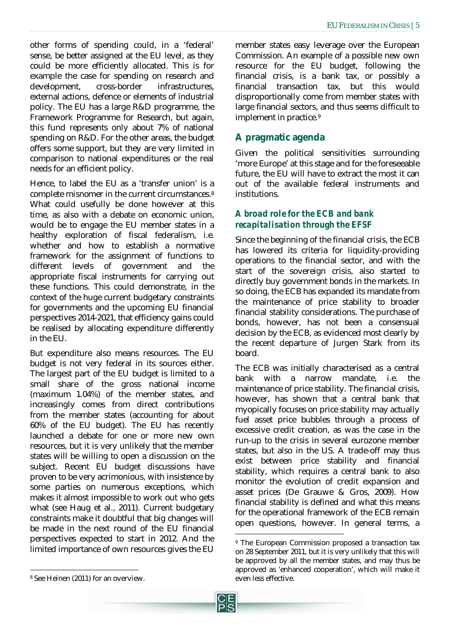other forms of spending could, in a 'federal' sense, be better assigned at the EU level, as they could be more efficiently allocated. This is for example the case for spending on research and development, cross-border infrastructures, external actions, defence or elements of industrial policy. The EU has a large R&D programme, the Framework Programme for Research, but again, this fund represents only about 7% of national spending on R&D. For the other areas, the budget offers some support, but they are very limited in comparison to national expenditures or the real needs for an efficient policy.

Hence, to label the EU as a 'transfer union' is a complete misnomer in the current circumstances.<sup>8</sup> What could usefully be done however at this time, as also with a debate on economic union, would be to engage the EU member states in a healthy exploration of fiscal federalism, i.e. whether and how to establish a normative framework for the assignment of functions to different levels of government and the appropriate fiscal instruments for carrying out these functions. This could demonstrate, in the context of the huge current budgetary constraints for governments and the upcoming EU financial perspectives 2014-2021, that efficiency gains could be realised by allocating expenditure differently in the EU.

But expenditure also means resources. The EU budget is not very federal in its sources either. The largest part of the EU budget is limited to a small share of the gross national income (maximum 1.04%) of the member states, and increasingly comes from direct contributions from the member states (accounting for about 60% of the EU budget). The EU has recently launched a debate for one or more new own resources, but it is very unlikely that the member states will be willing to open a discussion on the subject. Recent EU budget discussions have proven to be very acrimonious, with insistence by some parties on numerous exceptions, which makes it almost impossible to work out who gets what (see Haug et al., 2011). Current budgetary constraints make it doubtful that big changes will be made in the next round of the EU financial perspectives expected to start in 2012. And the limited importance of own resources gives the EU

member states easy leverage over the European Commission. An example of a possible new own resource for the EU budget, following the financial crisis, is a bank tax, or possibly a financial transaction tax, but this would disproportionally come from member states with large financial sectors, and thus seems difficult to implement in practice.<sup>9</sup>

# **A pragmatic agenda**

Given the political sensitivities surrounding 'more Europe' at this stage and for the foreseeable future, the EU will have to extract the most it can out of the available federal instruments and institutions.

## *A broad role for the ECB and bank recapitalisation through the EFSF*

Since the beginning of the financial crisis, the ECB has lowered its criteria for liquidity-providing operations to the financial sector, and with the start of the sovereign crisis, also started to directly buy government bonds in the markets. In so doing, the ECB has expanded its mandate from the maintenance of price stability to broader financial stability considerations. The purchase of bonds, however, has not been a consensual decision by the ECB, as evidenced most clearly by the recent departure of Jurgen Stark from its board.

The ECB was initially characterised as a central bank with a narrow mandate, i.e. the maintenance of price stability. The financial crisis, however, has shown that a central bank that myopically focuses on price stability may actually fuel asset price bubbles through a process of excessive credit creation, as was the case in the run-up to the crisis in several eurozone member states, but also in the US. A trade-off may thus exist between price stability and financial stability, which requires a central bank to also monitor the evolution of credit expansion and asset prices (De Grauwe & Gros, 2009). How financial stability is defined and what this means for the operational framework of the ECB remain open questions, however. In general terms, a

1

<sup>9</sup> The European Commission proposed a transaction tax on 28 September 2011, but it is very unlikely that this will be approved by all the member states, and may thus be approved as 'enhanced cooperation', which will make it even less effective.

<sup>1</sup> <sup>8</sup> See Heinen (2011) for an overview.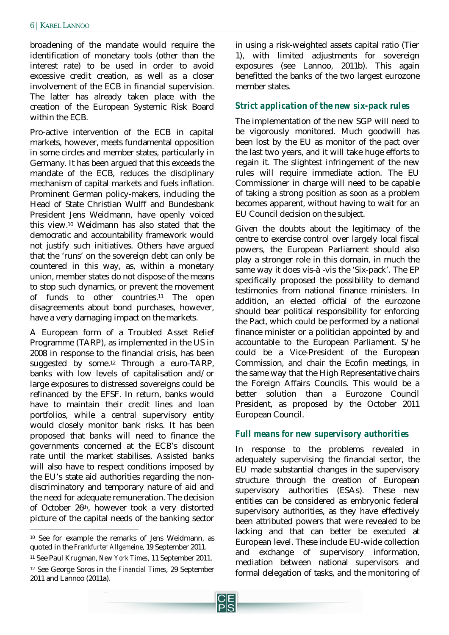broadening of the mandate would require the identification of monetary tools (other than the interest rate) to be used in order to avoid excessive credit creation, as well as a closer involvement of the ECB in financial supervision. The latter has already taken place with the creation of the European Systemic Risk Board within the ECB.

Pro-active intervention of the ECB in capital markets, however, meets fundamental opposition in some circles and member states, particularly in Germany. It has been argued that this exceeds the mandate of the ECB, reduces the disciplinary mechanism of capital markets and fuels inflation. Prominent German policy-makers, including the Head of State Christian Wulff and Bundesbank President Jens Weidmann, have openly voiced this view. <sup>10</sup> Weidmann has also stated that the democratic and accountability framework would not justify such initiatives. Others have argued that the 'runs' on the sovereign debt can only be countered in this way, as, within a monetary union, member states do not dispose of the means to stop such dynamics, or prevent the movement of funds to other countries.<sup>11</sup> The open disagreements about bond purchases, however, have a very damaging impact on the markets.

A European form of a Troubled Asset Relief Programme (TARP), as implemented in the US in 2008 in response to the financial crisis, has been suggested by some.<sup>12</sup> Through a euro-TARP, banks with low levels of capitalisation and/or large exposures to distressed sovereigns could be refinanced by the EFSF. In return, banks would have to maintain their credit lines and loan portfolios, while a central supervisory entity would closely monitor bank risks. It has been proposed that banks will need to finance the governments concerned at the ECB's discount rate until the market stabilises. Assisted banks will also have to respect conditions imposed by the EU's state aid authorities regarding the nondiscriminatory and temporary nature of aid and the need for adequate remuneration. The decision of October 26th, however took a very distorted picture of the capital needs of the banking sector

1

in using a risk-weighted assets capital ratio (Tier 1), with limited adjustments for sovereign exposures (see Lannoo, 2011b). This again benefitted the banks of the two largest eurozone member states.

#### *Strict application of the new six-pack rules*

The implementation of the new SGP will need to be vigorously monitored. Much goodwill has been lost by the EU as monitor of the pact over the last two years, and it will take huge efforts to regain it. The slightest infringement of the new rules will require immediate action. The EU Commissioner in charge will need to be capable of taking a strong position as soon as a problem becomes apparent, without having to wait for an EU Council decision on the subject.

Given the doubts about the legitimacy of the centre to exercise control over largely local fiscal powers, the European Parliament should also play a stronger role in this domain, in much the same way it does vis-à -vis the 'Six-pack'. The EP specifically proposed the possibility to demand testimonies from national finance ministers. In addition, an elected official of the eurozone should bear political responsibility for enforcing the Pact, which could be performed by a national finance minister or a politician appointed by and accountable to the European Parliament. S/he could be a Vice-President of the European Commission, and chair the Ecofin meetings, in the same way that the High Representative chairs the Foreign Affairs Councils. This would be a better solution than a Eurozone Council President, as proposed by the October 2011 European Council.

#### *Full means for new supervisory authorities*

In response to the problems revealed in adequately supervising the financial sector, the EU made substantial changes in the supervisory structure through the creation of European supervisory authorities (ESAs). These new entities can be considered as embryonic federal supervisory authorities, as they have effectively been attributed powers that were revealed to be lacking and that can better be executed at European level. These include EU-wide collection and exchange of supervisory information, mediation between national supervisors and formal delegation of tasks, and the monitoring of

<sup>10</sup> See for example the remarks of Jens Weidmann, as quoted in the *Frankfurter Allgemeine*, 19 September 2011.

<sup>11</sup> See Paul Krugman, *New York Times*, 11 September 2011.

<sup>12</sup> See George Soros in the *Financial Times*, 29 September 2011 and Lannoo (2011a).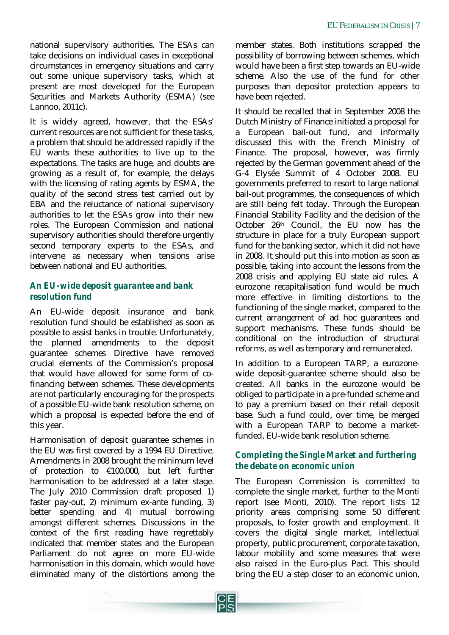national supervisory authorities. The ESAs can take decisions on individual cases in exceptional circumstances in emergency situations and carry out some unique supervisory tasks, which at present are most developed for the European Securities and Markets Authority (ESMA) (see Lannoo, 2011c).

It is widely agreed, however, that the ESAs' current resources are not sufficient for these tasks, a problem that should be addressed rapidly if the EU wants these authorities to live up to the expectations. The tasks are huge, and doubts are growing as a result of, for example, the delays with the licensing of rating agents by ESMA, the quality of the second stress test carried out by EBA and the reluctance of national supervisory authorities to let the ESAs grow into their new roles. The European Commission and national supervisory authorities should therefore urgently second temporary experts to the ESAs, and intervene as necessary when tensions arise between national and EU authorities.

### *An EU-wide deposit guarantee and bank resolution fund*

An EU-wide deposit insurance and bank resolution fund should be established as soon as possible to assist banks in trouble. Unfortunately, the planned amendments to the deposit guarantee schemes Directive have removed crucial elements of the Commission's proposal that would have allowed for some form of cofinancing between schemes. These developments are not particularly encouraging for the prospects of a possible EU-wide bank resolution scheme, on which a proposal is expected before the end of this year.

Harmonisation of deposit guarantee schemes in the EU was first covered by a 1994 EU Directive. Amendments in 2008 brought the minimum level of protection to €100,000, but left further harmonisation to be addressed at a later stage. The July 2010 Commission draft proposed 1) faster pay-out, 2) minimum ex-ante funding, 3) better spending and 4) mutual borrowing amongst different schemes. Discussions in the context of the first reading have regrettably indicated that member states and the European Parliament do not agree on more EU-wide harmonisation in this domain, which would have eliminated many of the distortions among the member states. Both institutions scrapped the possibility of borrowing between schemes, which would have been a first step towards an EU-wide scheme. Also the use of the fund for other purposes than depositor protection appears to have been rejected.

It should be recalled that in September 2008 the Dutch Ministry of Finance initiated a proposal for a European bail-out fund, and informally discussed this with the French Ministry of Finance. The proposal, however, was firmly rejected by the German government ahead of the G-4 Elysée Summit of 4 October 2008. EU governments preferred to resort to large national bail-out programmes, the consequences of which are still being felt today. Through the European Financial Stability Facility and the decision of the October 26th Council, the EU now has the structure in place for a truly European support fund for the banking sector, which it did not have in 2008. It should put this into motion as soon as possible, taking into account the lessons from the 2008 crisis and applying EU state aid rules. A eurozone recapitalisation fund would be much more effective in limiting distortions to the functioning of the single market, compared to the current arrangement of ad hoc guarantees and support mechanisms. These funds should be conditional on the introduction of structural reforms, as well as temporary and remunerated.

In addition to a European TARP, a eurozonewide deposit-guarantee scheme should also be created. All banks in the eurozone would be obliged to participate in a pre-funded scheme and to pay a premium based on their retail deposit base. Such a fund could, over time, be merged with a European TARP to become a marketfunded, EU-wide bank resolution scheme.

## *Completing the Single Market and furthering the debate on economic union*

The European Commission is committed to complete the single market, further to the Monti report (see Monti, 2010). The report lists 12 priority areas comprising some 50 different proposals, to foster growth and employment. It covers the digital single market, intellectual property, public procurement, corporate taxation, labour mobility and some measures that were also raised in the Euro-plus Pact. This should bring the EU a step closer to an economic union,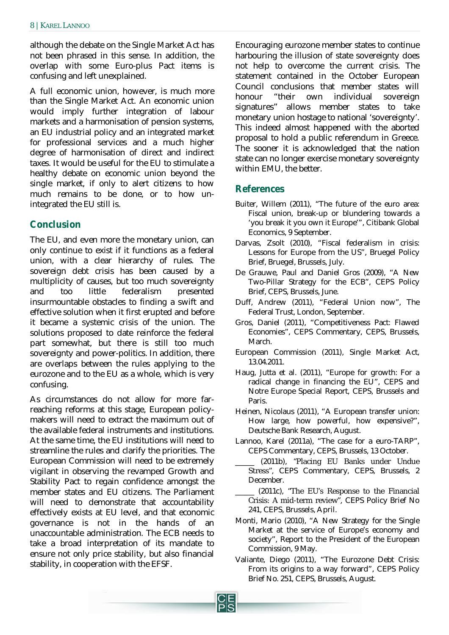although the debate on the Single Market Act has not been phrased in this sense. In addition, the overlap with some Euro-plus Pact items is confusing and left unexplained.

A full economic union, however, is much more than the Single Market Act. An economic union would imply further integration of labour markets and a harmonisation of pension systems, an EU industrial policy and an integrated market for professional services and a much higher degree of harmonisation of direct and indirect taxes. It would be useful for the EU to stimulate a healthy debate on economic union beyond the single market, if only to alert citizens to how much remains to be done, or to how unintegrated the EU still is.

# **Conclusion**

The EU, and even more the monetary union, can only continue to exist if it functions as a federal union, with a clear hierarchy of rules. The sovereign debt crisis has been caused by a multiplicity of causes, but too much sovereignty and too little federalism presented insurmountable obstacles to finding a swift and effective solution when it first erupted and before it became a systemic crisis of the union. The solutions proposed to date reinforce the federal part somewhat, but there is still too much sovereignty and power-politics. In addition, there are overlaps between the rules applying to the eurozone and to the EU as a whole, which is very confusing.

As circumstances do not allow for more farreaching reforms at this stage, European policymakers will need to extract the maximum out of the available federal instruments and institutions. At the same time, the EU institutions will need to streamline the rules and clarify the priorities. The European Commission will need to be extremely vigilant in observing the revamped Growth and Stability Pact to regain confidence amongst the member states and EU citizens. The Parliament will need to demonstrate that accountability effectively exists at EU level, and that economic governance is not in the hands of an unaccountable administration. The ECB needs to take a broad interpretation of its mandate to ensure not only price stability, but also financial stability, in cooperation with the EFSF.

Encouraging eurozone member states to continue harbouring the illusion of state sovereignty does not help to overcome the current crisis. The statement contained in the October European Council conclusions that member states will honour "their own individual sovereign signatures" allows member states to take monetary union hostage to national 'sovereignty'. This indeed almost happened with the aborted proposal to hold a public referendum in Greece. The sooner it is acknowledged that the nation state can no longer exercise monetary sovereignty within EMU, the better.

# **References**

- Buiter, Willem (2011), "The future of the euro area: Fiscal union, break-up or blundering towards a 'you break it you own it Europe'", Citibank Global Economics, 9 September.
- Darvas, Zsolt (2010), "Fiscal federalism in crisis: Lessons for Europe from the US", Bruegel Policy Brief, Bruegel, Brussels, July.
- De Grauwe, Paul and Daniel Gros (2009), "A New Two-Pillar Strategy for the ECB", CEPS Policy Brief, CEPS, Brussels, June.
- Duff, Andrew (2011), "Federal Union now", The Federal Trust, London, September.
- Gros, Daniel (2011), "Competitiveness Pact: Flawed Economies", CEPS Commentary, CEPS, Brussels, March.
- European Commission (2011), Single Market Act, 13.04.2011.
- Haug, Jutta et al. (2011), "Europe for growth: For a radical change in financing the EU", CEPS and Notre Europe Special Report, CEPS, Brussels and Paris.
- Heinen, Nicolaus (2011), "A European transfer union: How large, how powerful, how expensive?", Deutsche Bank Research, August.
- Lannoo, Karel (2011a), "The case for a euro-TARP", CEPS Commentary, CEPS, Brussels, 13 October.
- (2011b), "Placing EU Banks under Undue Stress", CEPS Commentary, CEPS, Brussels, 2 December.
- \_\_\_\_\_ (2011c), "The EU's Response to the Financial Crisis: A mid-term review", CEPS Policy Brief No 241, CEPS, Brussels, April.
- Monti, Mario (2010), "A New Strategy for the Single Market at the service of Europe's economy and society", Report to the President of the European Commission, 9 May.
- Valiante, Diego (2011), "The Eurozone Debt Crisis: From its origins to a way forward", CEPS Policy Brief No. 251, CEPS, Brussels, August.